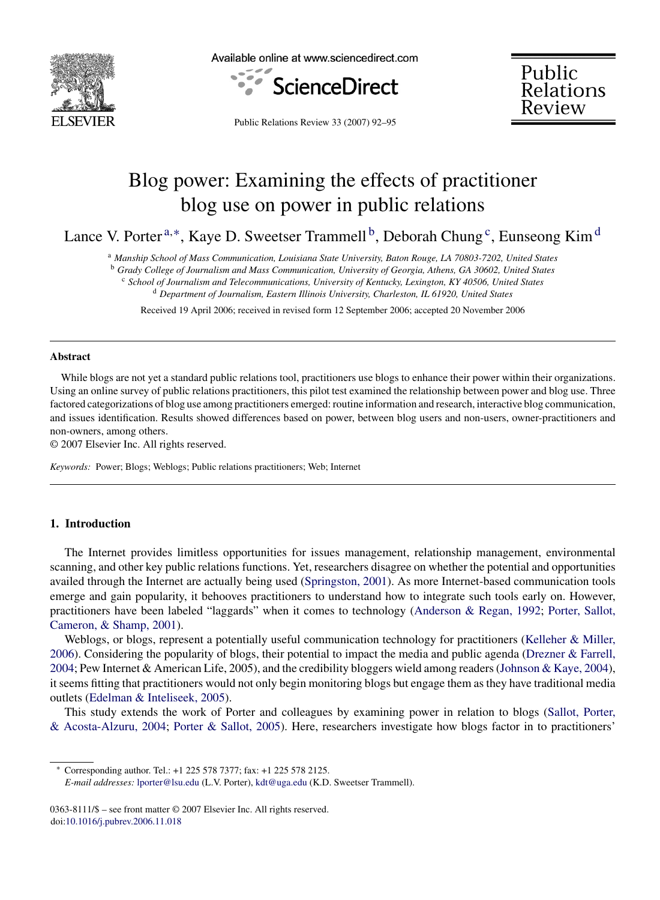

Available online at www.sciencedirect.com





Public Relations Review 33 (2007) 92–95

# Blog power: Examining the effects of practitioner blog use on power in public relations

Lance V. Porter<sup>a,\*</sup>, Kaye D. Sweetser Trammell<sup>b</sup>, Deborah Chung<sup>c</sup>, Eunseong Kim<sup>d</sup>

<sup>a</sup> *Manship School of Mass Communication, Louisiana State University, Baton Rouge, LA 70803-7202, United States*

<sup>b</sup> *Grady College of Journalism and Mass Communication, University of Georgia, Athens, GA 30602, United States*

<sup>c</sup> *School of Journalism and Telecommunications, University of Kentucky, Lexington, KY 40506, United States*

<sup>d</sup> *Department of Journalism, Eastern Illinois University, Charleston, IL 61920, United States*

Received 19 April 2006; received in revised form 12 September 2006; accepted 20 November 2006

#### **Abstract**

While blogs are not yet a standard public relations tool, practitioners use blogs to enhance their power within their organizations. Using an online survey of public relations practitioners, this pilot test examined the relationship between power and blog use. Three factored categorizations of blog use among practitioners emerged: routine information and research, interactive blog communication, and issues identification. Results showed differences based on power, between blog users and non-users, owner-practitioners and non-owners, among others.

© 2007 Elsevier Inc. All rights reserved.

*Keywords:* Power; Blogs; Weblogs; Public relations practitioners; Web; Internet

# **1. Introduction**

The Internet provides limitless opportunities for issues management, relationship management, environmental scanning, and other key public relations functions. Yet, researchers disagree on whether the potential and opportunities availed through the Internet are actually being used [\(Springston, 2001\).](#page-3-0) As more Internet-based communication tools emerge and gain popularity, it behooves practitioners to understand how to integrate such tools early on. However, practitioners have been labeled "laggards" when it comes to technology [\(Anderson & Regan, 1992;](#page-3-0) [Porter, Sallot,](#page-3-0) [Cameron, & Shamp, 2001\).](#page-3-0)

Weblogs, or blogs, represent a potentially useful communication technology for practitioners [\(Kelleher & Miller,](#page-3-0) [2006\).](#page-3-0) Considering the popularity of blogs, their potential to impact the media and public agenda ([Drezner & Farrell,](#page-3-0) [2004; P](#page-3-0)ew Internet & American Life, 2005), and the credibility bloggers wield among readers [\(Johnson & Kaye, 2004\),](#page-3-0) it seems fitting that practitioners would not only begin monitoring blogs but engage them as they have traditional media outlets ([Edelman & Inteliseek, 2005\).](#page-3-0)

This study extends the work of Porter and colleagues by examining power in relation to blogs ([Sallot, Porter,](#page-3-0) [& Acosta-Alzuru, 2004;](#page-3-0) [Porter & Sallot, 2005\).](#page-3-0) Here, researchers investigate how blogs factor in to practitioners'

∗ Corresponding author. Tel.: +1 225 578 7377; fax: +1 225 578 2125.

*E-mail addresses:* [lporter@lsu.edu](mailto:lporter@lsu.edu) (L.V. Porter), [kdt@uga.edu](mailto:kdt@uga.edu) (K.D. Sweetser Trammell).

<sup>0363-8111/\$ –</sup> see front matter © 2007 Elsevier Inc. All rights reserved. doi[:10.1016/j.pubrev.2006.11.018](dx.doi.org/10.1016/j.pubrev.2006.11.018)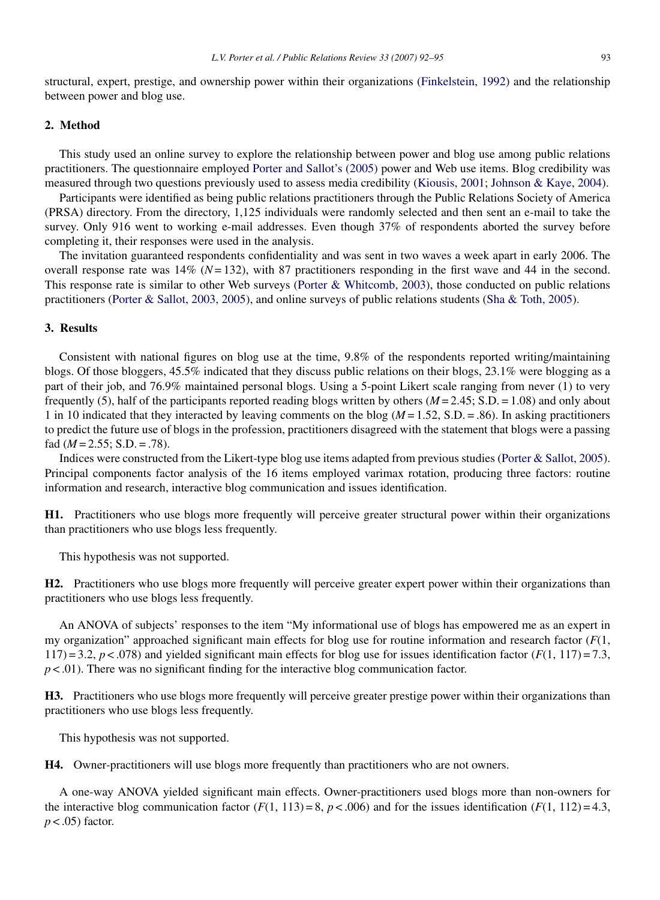structural, expert, prestige, and ownership power within their organizations [\(Finkelstein, 1992\)](#page-3-0) and the relationship between power and blog use.

# **2. Method**

This study used an online survey to explore the relationship between power and blog use among public relations practitioners. The questionnaire employed [Porter and Sallot's \(2005\)](#page-3-0) power and Web use items. Blog credibility was measured through two questions previously used to assess media credibility [\(Kiousis, 2001;](#page-3-0) [Johnson & Kaye, 2004\).](#page-3-0)

Participants were identified as being public relations practitioners through the Public Relations Society of America (PRSA) directory. From the directory, 1,125 individuals were randomly selected and then sent an e-mail to take the survey. Only 916 went to working e-mail addresses. Even though 37% of respondents aborted the survey before completing it, their responses were used in the analysis.

The invitation guaranteed respondents confidentiality and was sent in two waves a week apart in early 2006. The overall response rate was 14% (*N*= 132), with 87 practitioners responding in the first wave and 44 in the second. This response rate is similar to other Web surveys ([Porter & Whitcomb, 2003\),](#page-3-0) those conducted on public relations practitioners ([Porter & Sallot, 2003, 2005\),](#page-3-0) and online surveys of public relations students [\(Sha & Toth, 2005\).](#page-3-0)

### **3. Results**

Consistent with national figures on blog use at the time, 9.8% of the respondents reported writing/maintaining blogs. Of those bloggers, 45.5% indicated that they discuss public relations on their blogs, 23.1% were blogging as a part of their job, and 76.9% maintained personal blogs. Using a 5-point Likert scale ranging from never (1) to very frequently (5), half of the participants reported reading blogs written by others ( $M = 2.45$ ; S.D. = 1.08) and only about 1 in 10 indicated that they interacted by leaving comments on the blog  $(M = 1.52, S.D. = .86)$ . In asking practitioners to predict the future use of blogs in the profession, practitioners disagreed with the statement that blogs were a passing fad  $(M = 2.55; S.D. = .78)$ .

Indices were constructed from the Likert-type blog use items adapted from previous studies ([Porter & Sallot, 2005\).](#page-3-0) Principal components factor analysis of the 16 items employed varimax rotation, producing three factors: routine information and research, interactive blog communication and issues identification.

**H1.** Practitioners who use blogs more frequently will perceive greater structural power within their organizations than practitioners who use blogs less frequently.

This hypothesis was not supported.

**H2.** Practitioners who use blogs more frequently will perceive greater expert power within their organizations than practitioners who use blogs less frequently.

An ANOVA of subjects' responses to the item "My informational use of blogs has empowered me as an expert in my organization" approached significant main effects for blog use for routine information and research factor (*F*(1,  $117$ ) = 3.2,  $p < 0.078$ ) and yielded significant main effects for blog use for issues identification factor ( $F(1, 117)$ ) = 7.3,  $p < .01$ ). There was no significant finding for the interactive blog communication factor.

**H3.** Practitioners who use blogs more frequently will perceive greater prestige power within their organizations than practitioners who use blogs less frequently.

This hypothesis was not supported.

**H4.** Owner-practitioners will use blogs more frequently than practitioners who are not owners.

A one-way ANOVA yielded significant main effects. Owner-practitioners used blogs more than non-owners for the interactive blog communication factor  $(F(1, 113) = 8, p < .006)$  and for the issues identification  $(F(1, 112) = 4.3,$ *p* < .05) factor.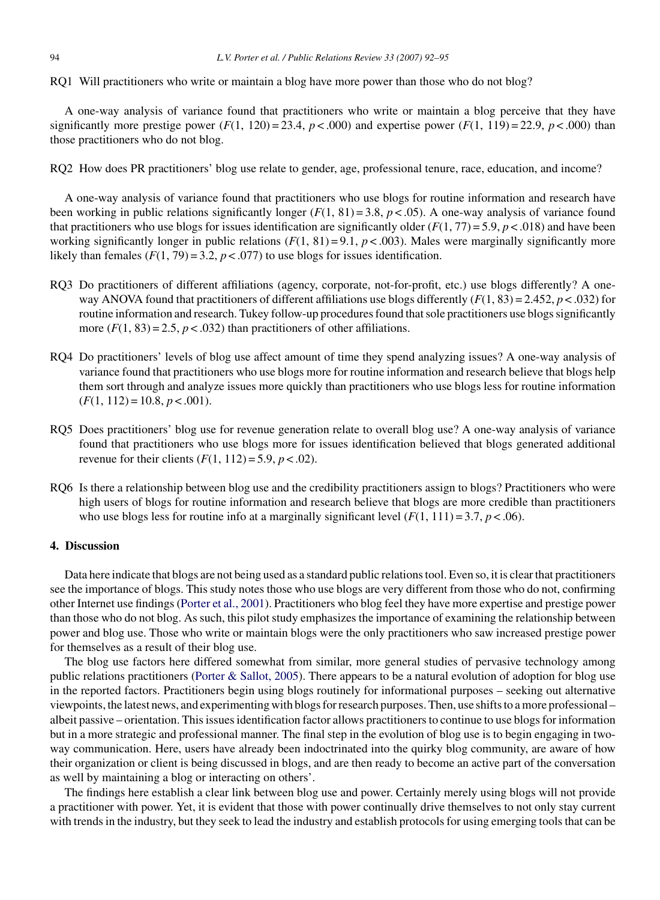RQ1 Will practitioners who write or maintain a blog have more power than those who do not blog?

A one-way analysis of variance found that practitioners who write or maintain a blog perceive that they have significantly more prestige power  $(F(1, 120) = 23.4, p < .000)$  and expertise power  $(F(1, 119) = 22.9, p < .000)$  than those practitioners who do not blog.

RQ2 How does PR practitioners' blog use relate to gender, age, professional tenure, race, education, and income?

A one-way analysis of variance found that practitioners who use blogs for routine information and research have been working in public relations significantly longer  $(F(1, 81) = 3.8, p < .05)$ . A one-way analysis of variance found that practitioners who use blogs for issues identification are significantly older  $(F(1, 77) = 5.9, p < .018)$  and have been working significantly longer in public relations  $(F(1, 81) = 9.1, p < .003)$ . Males were marginally significantly more likely than females  $(F(1, 79) = 3.2, p < .077)$  to use blogs for issues identification.

- RQ3 Do practitioners of different affiliations (agency, corporate, not-for-profit, etc.) use blogs differently? A oneway ANOVA found that practitioners of different affiliations use blogs differently  $(F(1, 83) = 2.452, p < .032)$  for routine information and research. Tukey follow-up procedures found that sole practitioners use blogs significantly more  $(F(1, 83) = 2.5, p < .032)$  than practitioners of other affiliations.
- RQ4 Do practitioners' levels of blog use affect amount of time they spend analyzing issues? A one-way analysis of variance found that practitioners who use blogs more for routine information and research believe that blogs help them sort through and analyze issues more quickly than practitioners who use blogs less for routine information  $(F(1, 112) = 10.8, p < .001).$
- RQ5 Does practitioners' blog use for revenue generation relate to overall blog use? A one-way analysis of variance found that practitioners who use blogs more for issues identification believed that blogs generated additional revenue for their clients  $(F(1, 112) = 5.9, p < .02)$ .
- RQ6 Is there a relationship between blog use and the credibility practitioners assign to blogs? Practitioners who were high users of blogs for routine information and research believe that blogs are more credible than practitioners who use blogs less for routine info at a marginally significant level  $(F(1, 111) = 3.7, p < .06)$ .

## **4. Discussion**

Data here indicate that blogs are not being used as a standard public relations tool. Even so, it is clear that practitioners see the importance of blogs. This study notes those who use blogs are very different from those who do not, confirming other Internet use findings [\(Porter et al., 2001\).](#page-3-0) Practitioners who blog feel they have more expertise and prestige power than those who do not blog. As such, this pilot study emphasizes the importance of examining the relationship between power and blog use. Those who write or maintain blogs were the only practitioners who saw increased prestige power for themselves as a result of their blog use.

The blog use factors here differed somewhat from similar, more general studies of pervasive technology among public relations practitioners [\(Porter & Sallot, 2005\).](#page-3-0) There appears to be a natural evolution of adoption for blog use in the reported factors. Practitioners begin using blogs routinely for informational purposes – seeking out alternative viewpoints, the latest news, and experimenting with blogs for research purposes. Then, use shifts to a more professional – albeit passive – orientation. This issues identification factor allows practitioners to continue to use blogs for information but in a more strategic and professional manner. The final step in the evolution of blog use is to begin engaging in twoway communication. Here, users have already been indoctrinated into the quirky blog community, are aware of how their organization or client is being discussed in blogs, and are then ready to become an active part of the conversation as well by maintaining a blog or interacting on others'.

The findings here establish a clear link between blog use and power. Certainly merely using blogs will not provide a practitioner with power. Yet, it is evident that those with power continually drive themselves to not only stay current with trends in the industry, but they seek to lead the industry and establish protocols for using emerging tools that can be